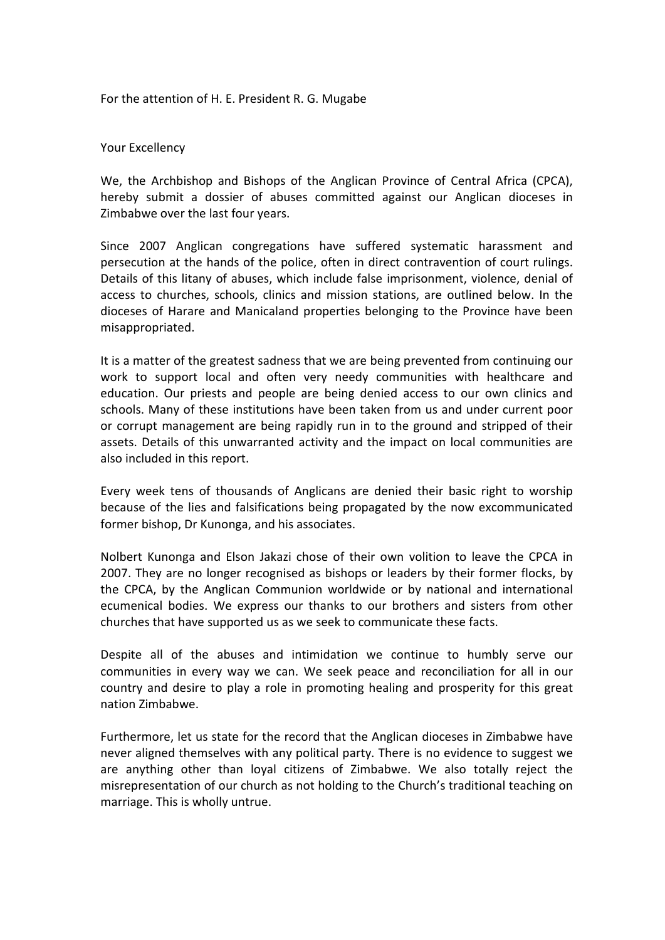For the attention of H. E. President R. G. Mugabe

# Your Excellency

We, the Archbishop and Bishops of the Anglican Province of Central Africa (CPCA), hereby submit a dossier of abuses committed against our Anglican dioceses in Zimbabwe over the last four years.

Since 2007 Anglican congregations have suffered systematic harassment and persecution at the hands of the police, often in direct contravention of court rulings. Details of this litany of abuses, which include false imprisonment, violence, denial of access to churches, schools, clinics and mission stations, are outlined below. In the dioceses of Harare and Manicaland properties belonging to the Province have been misappropriated.

It is a matter of the greatest sadness that we are being prevented from continuing our work to support local and often very needy communities with healthcare and education. Our priests and people are being denied access to our own clinics and schools. Many of these institutions have been taken from us and under current poor or corrupt management are being rapidly run in to the ground and stripped of their assets. Details of this unwarranted activity and the impact on local communities are also included in this report.

Every week tens of thousands of Anglicans are denied their basic right to worship because of the lies and falsifications being propagated by the now excommunicated former bishop, Dr Kunonga, and his associates.

Nolbert Kunonga and Elson Jakazi chose of their own volition to leave the CPCA in 2007. They are no longer recognised as bishops or leaders by their former flocks, by the CPCA, by the Anglican Communion worldwide or by national and international ecumenical bodies. We express our thanks to our brothers and sisters from other churches that have supported us as we seek to communicate these facts.

Despite all of the abuses and intimidation we continue to humbly serve our communities in every way we can. We seek peace and reconciliation for all in our country and desire to play a role in promoting healing and prosperity for this great nation Zimbabwe.

Furthermore, let us state for the record that the Anglican dioceses in Zimbabwe have never aligned themselves with any political party. There is no evidence to suggest we are anything other than loyal citizens of Zimbabwe. We also totally reject the misrepresentation of our church as not holding to the Church's traditional teaching on marriage. This is wholly untrue.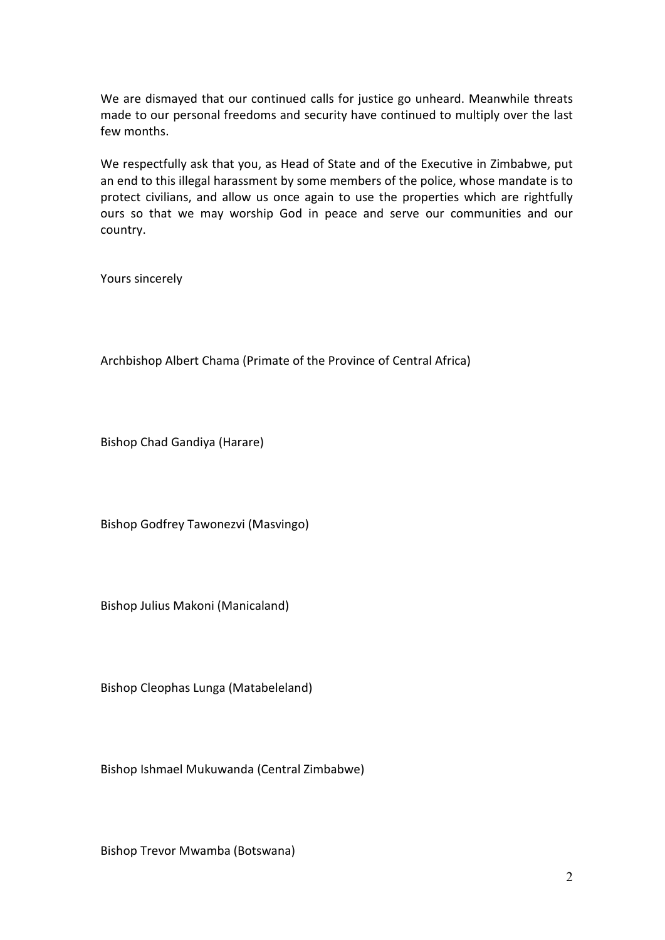We are dismayed that our continued calls for justice go unheard. Meanwhile threats made to our personal freedoms and security have continued to multiply over the last few months.

We respectfully ask that you, as Head of State and of the Executive in Zimbabwe, put an end to this illegal harassment by some members of the police, whose mandate is to protect civilians, and allow us once again to use the properties which are rightfully ours so that we may worship God in peace and serve our communities and our country.

Yours sincerely

Archbishop Albert Chama (Primate of the Province of Central Africa)

Bishop Chad Gandiya (Harare)

Bishop Godfrey Tawonezvi (Masvingo)

Bishop Julius Makoni (Manicaland)

Bishop Cleophas Lunga (Matabeleland)

Bishop Ishmael Mukuwanda (Central Zimbabwe)

Bishop Trevor Mwamba (Botswana)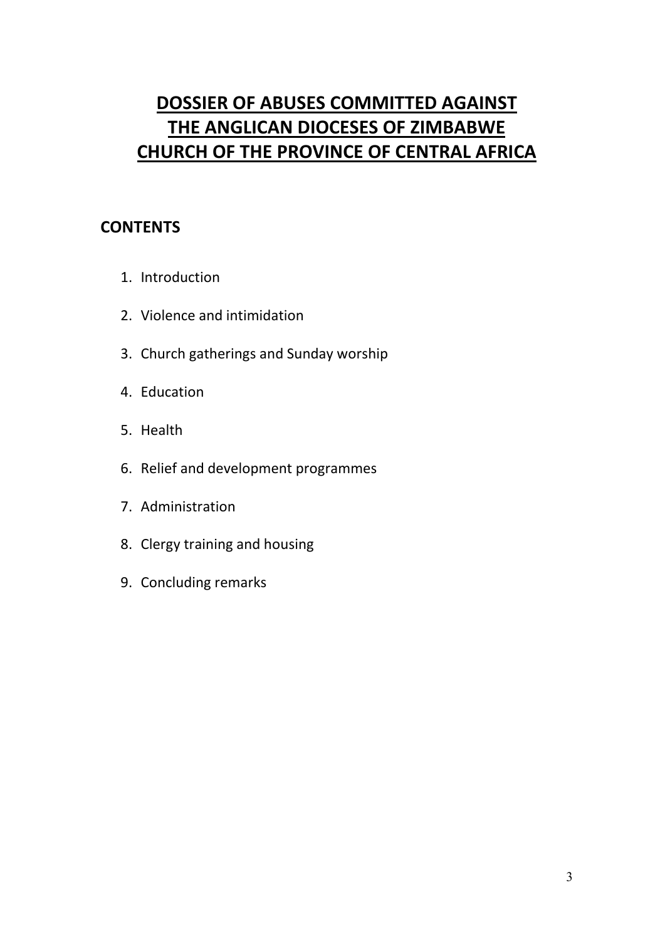# **DOSSIER OF ABUSES COMMITTED AGAINST THE ANGLICAN DIOCESES OF ZIMBABWE CHURCH OF THE PROVINCE OF CENTRAL AFRICA**

# **CONTENTS**

- 1. Introduction
- 2. Violence and intimidation
- 3. Church gatherings and Sunday worship
- 4. Education
- 5. Health
- 6. Relief and development programmes
- 7. Administration
- 8. Clergy training and housing
- 9. Concluding remarks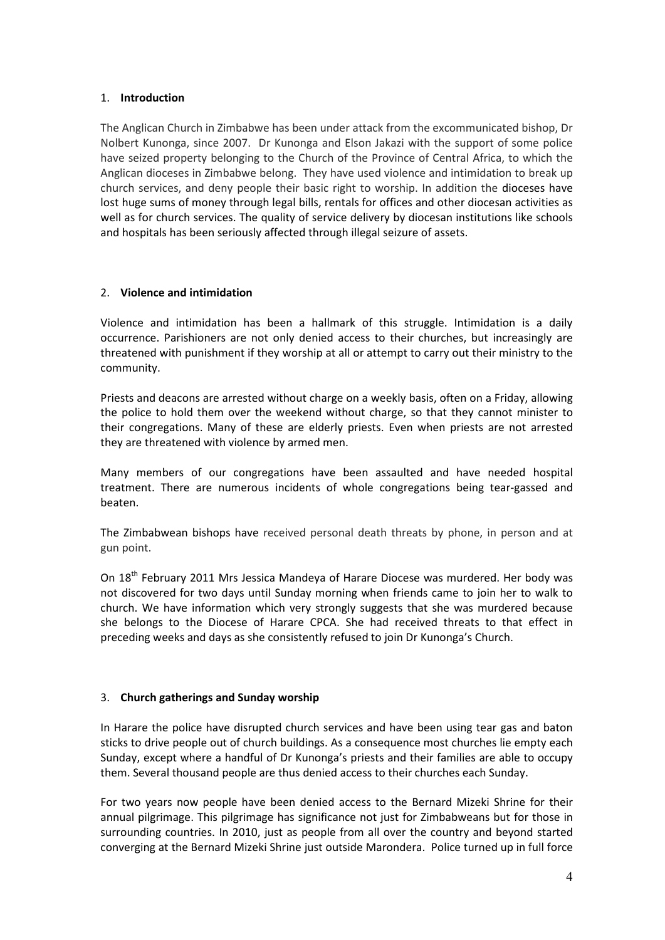# 1. **Introduction**

The Anglican Church in Zimbabwe has been under attack from the excommunicated bishop, Dr Nolbert Kunonga, since 2007. Dr Kunonga and Elson Jakazi with the support of some police have seized property belonging to the Church of the Province of Central Africa, to which the Anglican dioceses in Zimbabwe belong. They have used violence and intimidation to break up church services, and deny people their basic right to worship. In addition the dioceses have lost huge sums of money through legal bills, rentals for offices and other diocesan activities as well as for church services. The quality of service delivery by diocesan institutions like schools and hospitals has been seriously affected through illegal seizure of assets.

## 2. **Violence and intimidation**

Violence and intimidation has been a hallmark of this struggle. Intimidation is a daily occurrence. Parishioners are not only denied access to their churches, but increasingly are threatened with punishment if they worship at all or attempt to carry out their ministry to the community.

Priests and deacons are arrested without charge on a weekly basis, often on a Friday, allowing the police to hold them over the weekend without charge, so that they cannot minister to their congregations. Many of these are elderly priests. Even when priests are not arrested they are threatened with violence by armed men.

Many members of our congregations have been assaulted and have needed hospital treatment. There are numerous incidents of whole congregations being tear-gassed and beaten.

The Zimbabwean bishops have received personal death threats by phone, in person and at gun point.

On 18<sup>th</sup> February 2011 Mrs Jessica Mandeya of Harare Diocese was murdered. Her body was not discovered for two days until Sunday morning when friends came to join her to walk to church. We have information which very strongly suggests that she was murdered because she belongs to the Diocese of Harare CPCA. She had received threats to that effect in preceding weeks and days as she consistently refused to join Dr Kunonga's Church.

# 3. **Church gatherings and Sunday worship**

In Harare the police have disrupted church services and have been using tear gas and baton sticks to drive people out of church buildings. As a consequence most churches lie empty each Sunday, except where a handful of Dr Kunonga's priests and their families are able to occupy them. Several thousand people are thus denied access to their churches each Sunday.

For two years now people have been denied access to the Bernard Mizeki Shrine for their annual pilgrimage. This pilgrimage has significance not just for Zimbabweans but for those in surrounding countries. In 2010, just as people from all over the country and beyond started converging at the Bernard Mizeki Shrine just outside Marondera. Police turned up in full force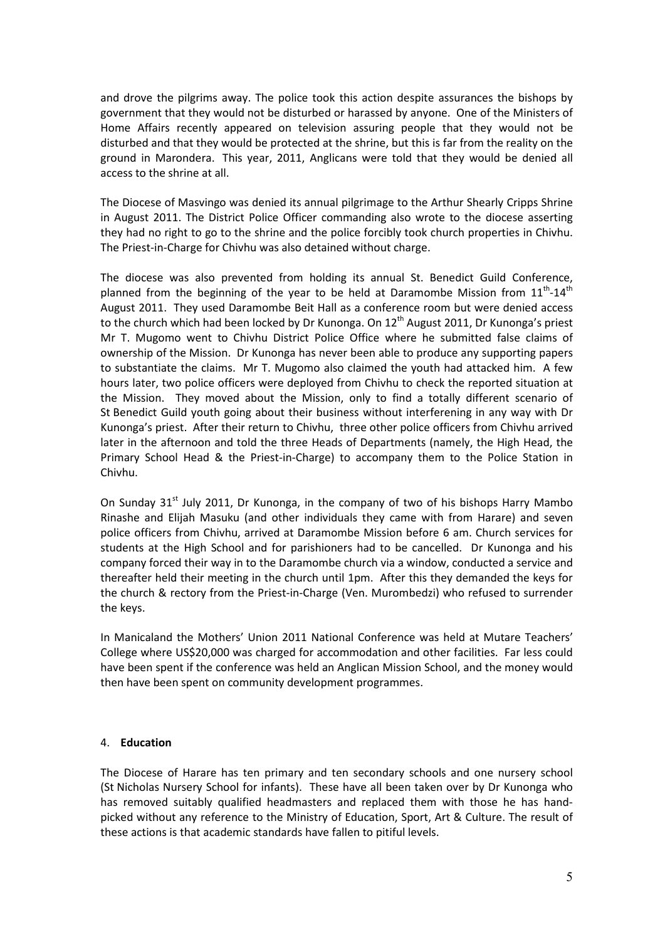and drove the pilgrims away. The police took this action despite assurances the bishops by government that they would not be disturbed or harassed by anyone. One of the Ministers of Home Affairs recently appeared on television assuring people that they would not be disturbed and that they would be protected at the shrine, but this is far from the reality on the ground in Marondera. This year, 2011, Anglicans were told that they would be denied all access to the shrine at all.

The Diocese of Masvingo was denied its annual pilgrimage to the Arthur Shearly Cripps Shrine in August 2011. The District Police Officer commanding also wrote to the diocese asserting they had no right to go to the shrine and the police forcibly took church properties in Chivhu. The Priest-in-Charge for Chivhu was also detained without charge.

The diocese was also prevented from holding its annual St. Benedict Guild Conference, planned from the beginning of the year to be held at Daramombe Mission from  $11<sup>th</sup>$ - $14<sup>th</sup>$ August 2011. They used Daramombe Beit Hall as a conference room but were denied access to the church which had been locked by Dr Kunonga. On  $12<sup>th</sup>$  August 2011, Dr Kunonga's priest Mr T. Mugomo went to Chivhu District Police Office where he submitted false claims of ownership of the Mission. Dr Kunonga has never been able to produce any supporting papers to substantiate the claims. Mr T. Mugomo also claimed the youth had attacked him. A few hours later, two police officers were deployed from Chivhu to check the reported situation at the Mission. They moved about the Mission, only to find a totally different scenario of St Benedict Guild youth going about their business without interferening in any way with Dr Kunonga's priest. After their return to Chivhu, three other police officers from Chivhu arrived later in the afternoon and told the three Heads of Departments (namely, the High Head, the Primary School Head & the Priest-in-Charge) to accompany them to the Police Station in Chivhu.

On Sunday  $31<sup>st</sup>$  July 2011, Dr Kunonga, in the company of two of his bishops Harry Mambo Rinashe and Elijah Masuku (and other individuals they came with from Harare) and seven police officers from Chivhu, arrived at Daramombe Mission before 6 am. Church services for students at the High School and for parishioners had to be cancelled. Dr Kunonga and his company forced their way in to the Daramombe church via a window, conducted a service and thereafter held their meeting in the church until 1pm. After this they demanded the keys for the church & rectory from the Priest-in-Charge (Ven. Murombedzi) who refused to surrender the keys.

In Manicaland the Mothers' Union 2011 National Conference was held at Mutare Teachers' College where US\$20,000 was charged for accommodation and other facilities. Far less could have been spent if the conference was held an Anglican Mission School, and the money would then have been spent on community development programmes.

#### 4. **Education**

The Diocese of Harare has ten primary and ten secondary schools and one nursery school (St Nicholas Nursery School for infants). These have all been taken over by Dr Kunonga who has removed suitably qualified headmasters and replaced them with those he has handpicked without any reference to the Ministry of Education, Sport, Art & Culture. The result of these actions is that academic standards have fallen to pitiful levels.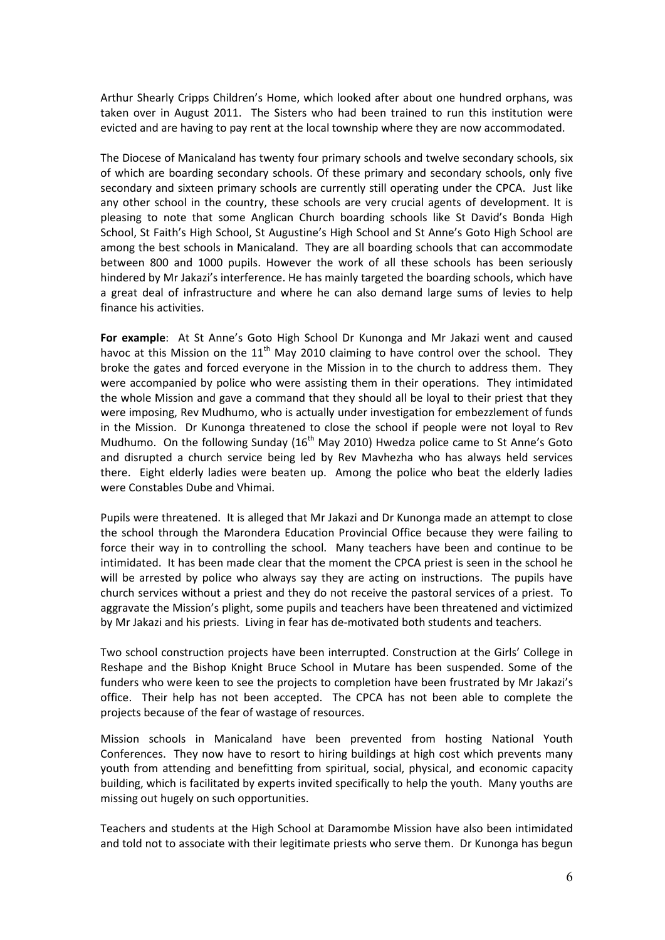Arthur Shearly Cripps Children's Home, which looked after about one hundred orphans, was taken over in August 2011. The Sisters who had been trained to run this institution were evicted and are having to pay rent at the local township where they are now accommodated.

The Diocese of Manicaland has twenty four primary schools and twelve secondary schools, six of which are boarding secondary schools. Of these primary and secondary schools, only five secondary and sixteen primary schools are currently still operating under the CPCA. Just like any other school in the country, these schools are very crucial agents of development. It is pleasing to note that some Anglican Church boarding schools like St David's Bonda High School, St Faith's High School, St Augustine's High School and St Anne's Goto High School are among the best schools in Manicaland. They are all boarding schools that can accommodate between 800 and 1000 pupils. However the work of all these schools has been seriously hindered by Mr Jakazi's interference. He has mainly targeted the boarding schools, which have a great deal of infrastructure and where he can also demand large sums of levies to help finance his activities.

**For example**: At St Anne's Goto High School Dr Kunonga and Mr Jakazi went and caused havoc at this Mission on the  $11<sup>th</sup>$  May 2010 claiming to have control over the school. They broke the gates and forced everyone in the Mission in to the church to address them. They were accompanied by police who were assisting them in their operations. They intimidated the whole Mission and gave a command that they should all be loyal to their priest that they were imposing, Rev Mudhumo, who is actually under investigation for embezzlement of funds in the Mission. Dr Kunonga threatened to close the school if people were not loyal to Rev Mudhumo. On the following Sunday ( $16<sup>th</sup>$  May 2010) Hwedza police came to St Anne's Goto and disrupted a church service being led by Rev Mavhezha who has always held services there. Eight elderly ladies were beaten up. Among the police who beat the elderly ladies were Constables Dube and Vhimai.

Pupils were threatened. It is alleged that Mr Jakazi and Dr Kunonga made an attempt to close the school through the Marondera Education Provincial Office because they were failing to force their way in to controlling the school. Many teachers have been and continue to be intimidated. It has been made clear that the moment the CPCA priest is seen in the school he will be arrested by police who always say they are acting on instructions. The pupils have church services without a priest and they do not receive the pastoral services of a priest. To aggravate the Mission's plight, some pupils and teachers have been threatened and victimized by Mr Jakazi and his priests. Living in fear has de-motivated both students and teachers.

Two school construction projects have been interrupted. Construction at the Girls' College in Reshape and the Bishop Knight Bruce School in Mutare has been suspended. Some of the funders who were keen to see the projects to completion have been frustrated by Mr Jakazi's office. Their help has not been accepted. The CPCA has not been able to complete the projects because of the fear of wastage of resources.

Mission schools in Manicaland have been prevented from hosting National Youth Conferences. They now have to resort to hiring buildings at high cost which prevents many youth from attending and benefitting from spiritual, social, physical, and economic capacity building, which is facilitated by experts invited specifically to help the youth. Many youths are missing out hugely on such opportunities.

Teachers and students at the High School at Daramombe Mission have also been intimidated and told not to associate with their legitimate priests who serve them. Dr Kunonga has begun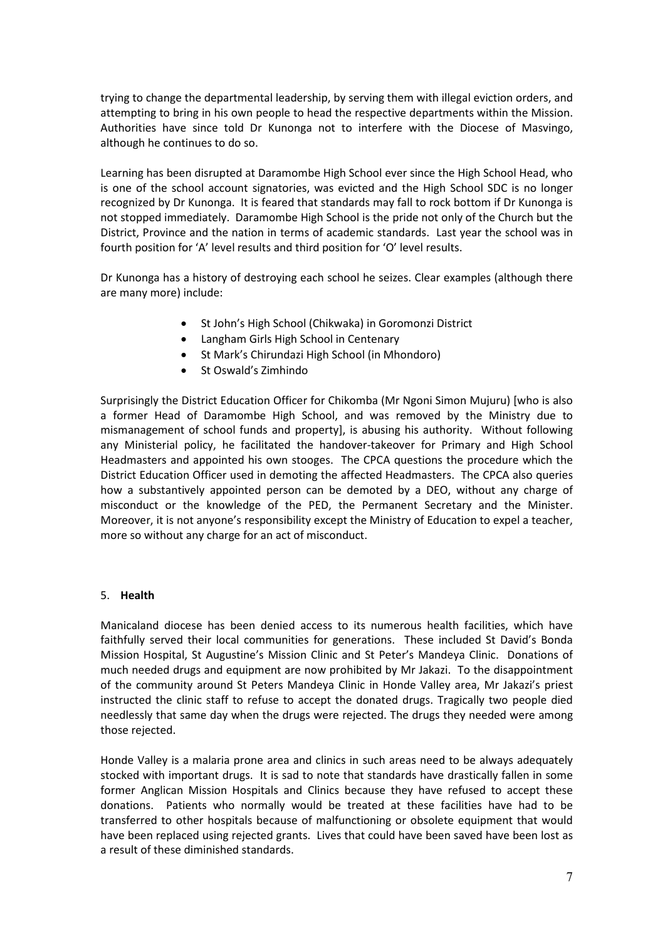trying to change the departmental leadership, by serving them with illegal eviction orders, and attempting to bring in his own people to head the respective departments within the Mission. Authorities have since told Dr Kunonga not to interfere with the Diocese of Masvingo, although he continues to do so.

Learning has been disrupted at Daramombe High School ever since the High School Head, who is one of the school account signatories, was evicted and the High School SDC is no longer recognized by Dr Kunonga. It is feared that standards may fall to rock bottom if Dr Kunonga is not stopped immediately. Daramombe High School is the pride not only of the Church but the District, Province and the nation in terms of academic standards. Last year the school was in fourth position for 'A' level results and third position for 'O' level results.

Dr Kunonga has a history of destroying each school he seizes. Clear examples (although there are many more) include:

- St John's High School (Chikwaka) in Goromonzi District
- Langham Girls High School in Centenary
- St Mark's Chirundazi High School (in Mhondoro)
- St Oswald's Zimhindo

Surprisingly the District Education Officer for Chikomba (Mr Ngoni Simon Mujuru) [who is also a former Head of Daramombe High School, and was removed by the Ministry due to mismanagement of school funds and property], is abusing his authority. Without following any Ministerial policy, he facilitated the handover-takeover for Primary and High School Headmasters and appointed his own stooges. The CPCA questions the procedure which the District Education Officer used in demoting the affected Headmasters. The CPCA also queries how a substantively appointed person can be demoted by a DEO, without any charge of misconduct or the knowledge of the PED, the Permanent Secretary and the Minister. Moreover, it is not anyone's responsibility except the Ministry of Education to expel a teacher, more so without any charge for an act of misconduct.

#### 5. **Health**

Manicaland diocese has been denied access to its numerous health facilities, which have faithfully served their local communities for generations. These included St David's Bonda Mission Hospital, St Augustine's Mission Clinic and St Peter's Mandeya Clinic. Donations of much needed drugs and equipment are now prohibited by Mr Jakazi. To the disappointment of the community around St Peters Mandeya Clinic in Honde Valley area, Mr Jakazi's priest instructed the clinic staff to refuse to accept the donated drugs. Tragically two people died needlessly that same day when the drugs were rejected. The drugs they needed were among those rejected.

Honde Valley is a malaria prone area and clinics in such areas need to be always adequately stocked with important drugs. It is sad to note that standards have drastically fallen in some former Anglican Mission Hospitals and Clinics because they have refused to accept these donations. Patients who normally would be treated at these facilities have had to be transferred to other hospitals because of malfunctioning or obsolete equipment that would have been replaced using rejected grants. Lives that could have been saved have been lost as a result of these diminished standards.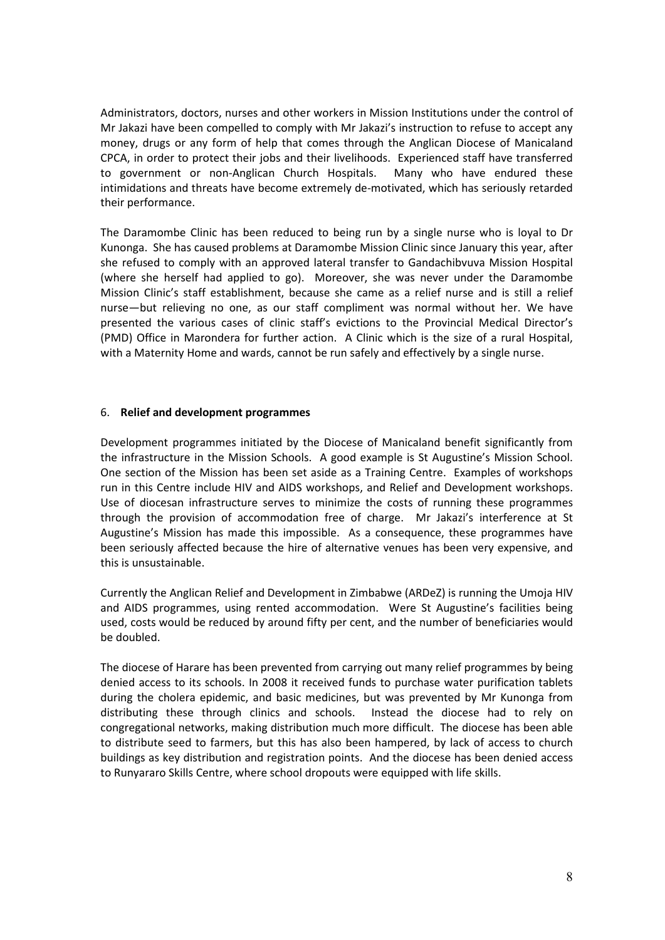Administrators, doctors, nurses and other workers in Mission Institutions under the control of Mr Jakazi have been compelled to comply with Mr Jakazi's instruction to refuse to accept any money, drugs or any form of help that comes through the Anglican Diocese of Manicaland CPCA, in order to protect their jobs and their livelihoods. Experienced staff have transferred to government or non-Anglican Church Hospitals. Many who have endured these intimidations and threats have become extremely de-motivated, which has seriously retarded their performance.

The Daramombe Clinic has been reduced to being run by a single nurse who is loyal to Dr Kunonga. She has caused problems at Daramombe Mission Clinic since January this year, after she refused to comply with an approved lateral transfer to Gandachibvuva Mission Hospital (where she herself had applied to go). Moreover, she was never under the Daramombe Mission Clinic's staff establishment, because she came as a relief nurse and is still a relief nurse—but relieving no one, as our staff compliment was normal without her. We have presented the various cases of clinic staff's evictions to the Provincial Medical Director's (PMD) Office in Marondera for further action. A Clinic which is the size of a rural Hospital, with a Maternity Home and wards, cannot be run safely and effectively by a single nurse.

#### 6. **Relief and development programmes**

Development programmes initiated by the Diocese of Manicaland benefit significantly from the infrastructure in the Mission Schools. A good example is St Augustine's Mission School. One section of the Mission has been set aside as a Training Centre. Examples of workshops run in this Centre include HIV and AIDS workshops, and Relief and Development workshops. Use of diocesan infrastructure serves to minimize the costs of running these programmes through the provision of accommodation free of charge. Mr Jakazi's interference at St Augustine's Mission has made this impossible. As a consequence, these programmes have been seriously affected because the hire of alternative venues has been very expensive, and this is unsustainable.

Currently the Anglican Relief and Development in Zimbabwe (ARDeZ) is running the Umoja HIV and AIDS programmes, using rented accommodation. Were St Augustine's facilities being used, costs would be reduced by around fifty per cent, and the number of beneficiaries would be doubled.

The diocese of Harare has been prevented from carrying out many relief programmes by being denied access to its schools. In 2008 it received funds to purchase water purification tablets during the cholera epidemic, and basic medicines, but was prevented by Mr Kunonga from distributing these through clinics and schools. Instead the diocese had to rely on congregational networks, making distribution much more difficult. The diocese has been able to distribute seed to farmers, but this has also been hampered, by lack of access to church buildings as key distribution and registration points. And the diocese has been denied access to Runyararo Skills Centre, where school dropouts were equipped with life skills.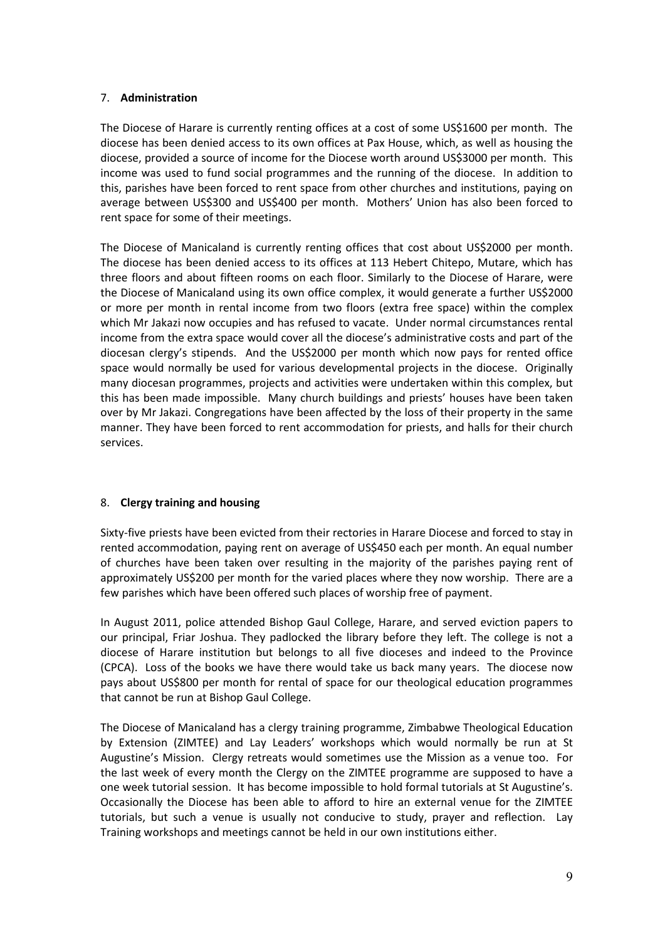# 7. **Administration**

The Diocese of Harare is currently renting offices at a cost of some US\$1600 per month. The diocese has been denied access to its own offices at Pax House, which, as well as housing the diocese, provided a source of income for the Diocese worth around US\$3000 per month. This income was used to fund social programmes and the running of the diocese. In addition to this, parishes have been forced to rent space from other churches and institutions, paying on average between US\$300 and US\$400 per month. Mothers' Union has also been forced to rent space for some of their meetings.

The Diocese of Manicaland is currently renting offices that cost about US\$2000 per month. The diocese has been denied access to its offices at 113 Hebert Chitepo, Mutare, which has three floors and about fifteen rooms on each floor. Similarly to the Diocese of Harare, were the Diocese of Manicaland using its own office complex, it would generate a further US\$2000 or more per month in rental income from two floors (extra free space) within the complex which Mr Jakazi now occupies and has refused to vacate. Under normal circumstances rental income from the extra space would cover all the diocese's administrative costs and part of the diocesan clergy's stipends. And the US\$2000 per month which now pays for rented office space would normally be used for various developmental projects in the diocese. Originally many diocesan programmes, projects and activities were undertaken within this complex, but this has been made impossible. Many church buildings and priests' houses have been taken over by Mr Jakazi. Congregations have been affected by the loss of their property in the same manner. They have been forced to rent accommodation for priests, and halls for their church services.

# 8. **Clergy training and housing**

Sixty-five priests have been evicted from their rectories in Harare Diocese and forced to stay in rented accommodation, paying rent on average of US\$450 each per month. An equal number of churches have been taken over resulting in the majority of the parishes paying rent of approximately US\$200 per month for the varied places where they now worship. There are a few parishes which have been offered such places of worship free of payment.

In August 2011, police attended Bishop Gaul College, Harare, and served eviction papers to our principal, Friar Joshua. They padlocked the library before they left. The college is not a diocese of Harare institution but belongs to all five dioceses and indeed to the Province (CPCA). Loss of the books we have there would take us back many years. The diocese now pays about US\$800 per month for rental of space for our theological education programmes that cannot be run at Bishop Gaul College.

The Diocese of Manicaland has a clergy training programme, Zimbabwe Theological Education by Extension (ZIMTEE) and Lay Leaders' workshops which would normally be run at St Augustine's Mission. Clergy retreats would sometimes use the Mission as a venue too. For the last week of every month the Clergy on the ZIMTEE programme are supposed to have a one week tutorial session. It has become impossible to hold formal tutorials at St Augustine's. Occasionally the Diocese has been able to afford to hire an external venue for the ZIMTEE tutorials, but such a venue is usually not conducive to study, prayer and reflection. Lay Training workshops and meetings cannot be held in our own institutions either.